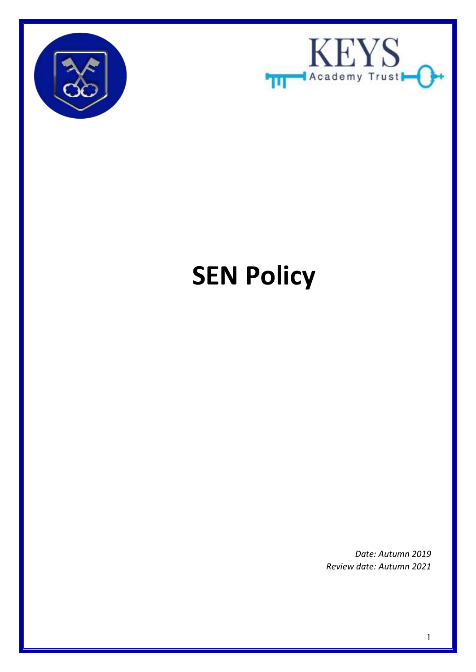



# **SEN Policy**

*Date: Autumn 2019 Review date: Autumn 2021*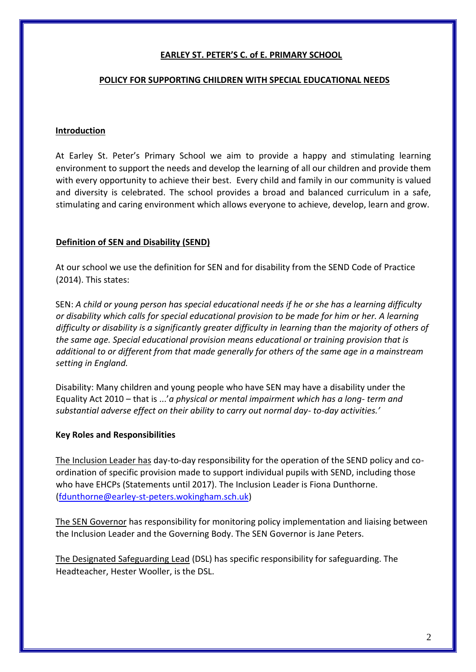## **EARLEY ST. PETER'S C. of E. PRIMARY SCHOOL**

#### **POLICY FOR SUPPORTING CHILDREN WITH SPECIAL EDUCATIONAL NEEDS**

### **Introduction**

At Earley St. Peter's Primary School we aim to provide a happy and stimulating learning environment to support the needs and develop the learning of all our children and provide them with every opportunity to achieve their best. Every child and family in our community is valued and diversity is celebrated. The school provides a broad and balanced curriculum in a safe, stimulating and caring environment which allows everyone to achieve, develop, learn and grow.

## **Definition of SEN and Disability (SEND)**

At our school we use the definition for SEN and for disability from the SEND Code of Practice (2014). This states:

SEN: *A child or young person has special educational needs if he or she has a learning difficulty or disability which calls for special educational provision to be made for him or her. A learning difficulty or disability is a significantly greater difficulty in learning than the majority of others of the same age. Special educational provision means educational or training provision that is additional to or different from that made generally for others of the same age in a mainstream setting in England.* 

Disability: Many children and young people who have SEN may have a disability under the Equality Act 2010 – that is ...'*a physical or mental impairment which has a long- term and substantial adverse effect on their ability to carry out normal day- to-day activities.'* 

#### **Key Roles and Responsibilities**

The Inclusion Leader has day-to-day responsibility for the operation of the SEND policy and coordination of specific provision made to support individual pupils with SEND, including those who have EHCPs (Statements until 2017). The Inclusion Leader is Fiona Dunthorne. (fdunthorne@earley-st-peters.wokingham.sch.uk)

The SEN Governor has responsibility for monitoring policy implementation and liaising between the Inclusion Leader and the Governing Body. The SEN Governor is Jane Peters.

The Designated Safeguarding Lead (DSL) has specific responsibility for safeguarding. The Headteacher, Hester Wooller, is the DSL.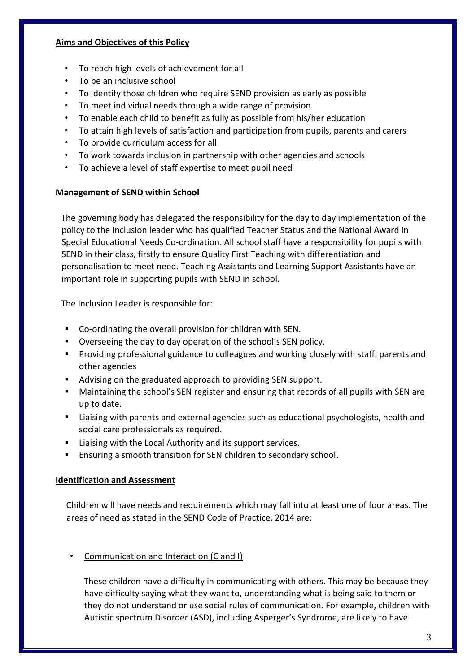### **Aims and Objectives of this Policy**

- To reach high levels of achievement for all
- To be an inclusive school
- To identify those children who require SEND provision as early as possible
- To meet individual needs through a wide range of provision
- To enable each child to benefit as fully as possible from his/her education
- To attain high levels of satisfaction and participation from pupils, parents and carers
- To provide curriculum access for all
- To work towards inclusion in partnership with other agencies and schools
- To achieve a level of staff expertise to meet pupil need

# **Management of SEND within School**

The governing body has delegated the responsibility for the day to day implementation of the policy to the Inclusion leader who has qualified Teacher Status and the National Award in Special Educational Needs Co-ordination. All school staff have a responsibility for pupils with SEND in their class, firstly to ensure Quality First Teaching with differentiation and personalisation to meet need. Teaching Assistants and Learning Support Assistants have an important role in supporting pupils with SEND in school.

The Inclusion Leader is responsible for:

- Co-ordinating the overall provision for children with SEN.
- Overseeing the day to day operation of the school's SEN policy.
- **Providing professional guidance to colleagues and working closely with staff, parents and** other agencies
- Advising on the graduated approach to providing SEN support.
- Maintaining the school's SEN register and ensuring that records of all pupils with SEN are up to date.
- Liaising with parents and external agencies such as educational psychologists, health and social care professionals as required.
- Liaising with the Local Authority and its support services.
- **Ensuring a smooth transition for SEN children to secondary school.**

# **Identification and Assessment**

Children will have needs and requirements which may fall into at least one of four areas. The areas of need as stated in the SEND Code of Practice, 2014 are:

Communication and Interaction (C and I)

These children have a difficulty in communicating with others. This may be because they have difficulty saying what they want to, understanding what is being said to them or they do not understand or use social rules of communication. For example, children with Autistic spectrum Disorder (ASD), including Asperger's Syndrome, are likely to have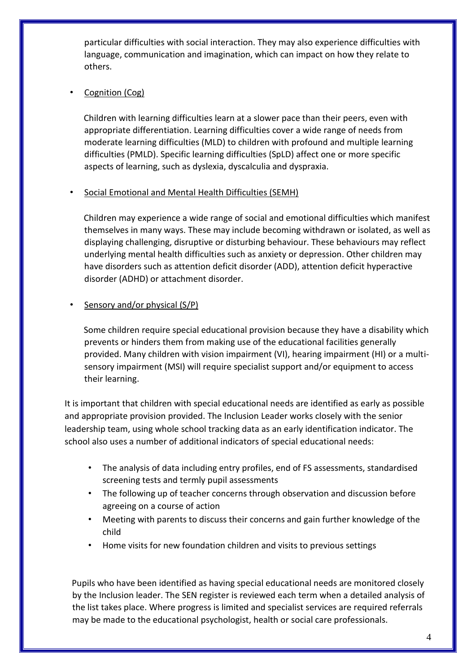particular difficulties with social interaction. They may also experience difficulties with language, communication and imagination, which can impact on how they relate to others.

# Cognition (Cog)

Children with learning difficulties learn at a slower pace than their peers, even with appropriate differentiation. Learning difficulties cover a wide range of needs from moderate learning difficulties (MLD) to children with profound and multiple learning difficulties (PMLD). Specific learning difficulties (SpLD) affect one or more specific aspects of learning, such as dyslexia, dyscalculia and dyspraxia.

# • Social Emotional and Mental Health Difficulties (SEMH)

Children may experience a wide range of social and emotional difficulties which manifest themselves in many ways. These may include becoming withdrawn or isolated, as well as displaying challenging, disruptive or disturbing behaviour. These behaviours may reflect underlying mental health difficulties such as anxiety or depression. Other children may have disorders such as attention deficit disorder (ADD), attention deficit hyperactive disorder (ADHD) or attachment disorder.

# Sensory and/or physical (S/P)

Some children require special educational provision because they have a disability which prevents or hinders them from making use of the educational facilities generally provided. Many children with vision impairment (VI), hearing impairment (HI) or a multisensory impairment (MSI) will require specialist support and/or equipment to access their learning.

It is important that children with special educational needs are identified as early as possible and appropriate provision provided. The Inclusion Leader works closely with the senior leadership team, using whole school tracking data as an early identification indicator. The school also uses a number of additional indicators of special educational needs:

- The analysis of data including entry profiles, end of FS assessments, standardised screening tests and termly pupil assessments
- The following up of teacher concerns through observation and discussion before agreeing on a course of action
- Meeting with parents to discuss their concerns and gain further knowledge of the child
- Home visits for new foundation children and visits to previous settings

Pupils who have been identified as having special educational needs are monitored closely by the Inclusion leader. The SEN register is reviewed each term when a detailed analysis of the list takes place. Where progress is limited and specialist services are required referrals may be made to the educational psychologist, health or social care professionals.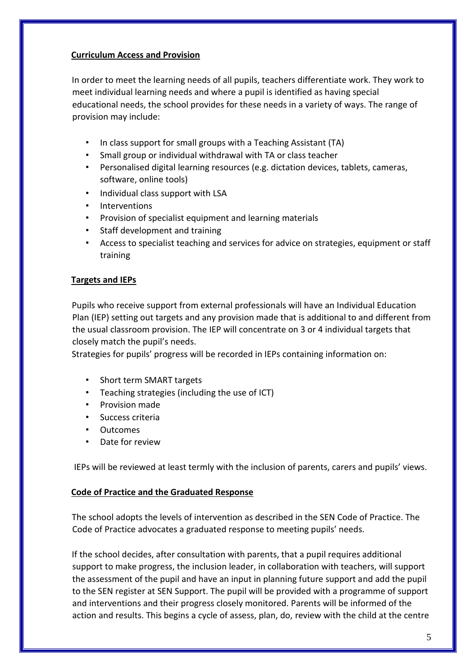## **Curriculum Access and Provision**

In order to meet the learning needs of all pupils, teachers differentiate work. They work to meet individual learning needs and where a pupil is identified as having special educational needs, the school provides for these needs in a variety of ways. The range of provision may include:

- In class support for small groups with a Teaching Assistant (TA)
- Small group or individual withdrawal with TA or class teacher
- Personalised digital learning resources (e.g. dictation devices, tablets, cameras, software, online tools)
- Individual class support with LSA
- **Interventions**
- Provision of specialist equipment and learning materials
- Staff development and training
- Access to specialist teaching and services for advice on strategies, equipment or staff training

# **Targets and IEPs**

Pupils who receive support from external professionals will have an Individual Education Plan (IEP) setting out targets and any provision made that is additional to and different from the usual classroom provision. The IEP will concentrate on 3 or 4 individual targets that closely match the pupil's needs.

Strategies for pupils' progress will be recorded in IEPs containing information on:

- Short term SMART targets
- Teaching strategies (including the use of ICT)
- Provision made
- Success criteria
- Outcomes
- Date for review

IEPs will be reviewed at least termly with the inclusion of parents, carers and pupils' views.

#### **Code of Practice and the Graduated Response**

The school adopts the levels of intervention as described in the SEN Code of Practice. The Code of Practice advocates a graduated response to meeting pupils' needs.

If the school decides, after consultation with parents, that a pupil requires additional support to make progress, the inclusion leader, in collaboration with teachers, will support the assessment of the pupil and have an input in planning future support and add the pupil to the SEN register at SEN Support. The pupil will be provided with a programme of support and interventions and their progress closely monitored. Parents will be informed of the action and results. This begins a cycle of assess, plan, do, review with the child at the centre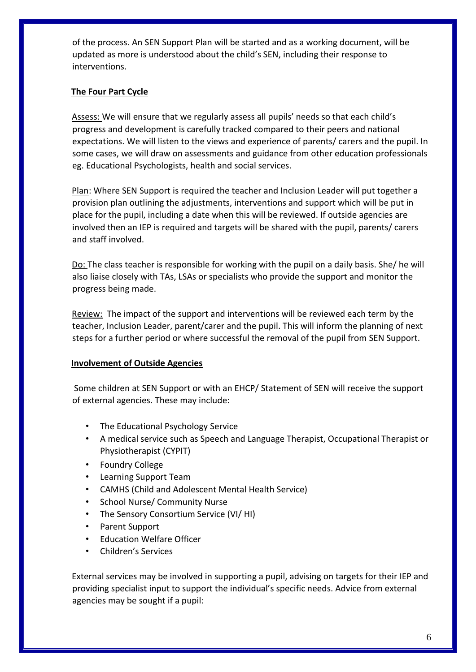of the process. An SEN Support Plan will be started and as a working document, will be updated as more is understood about the child's SEN, including their response to interventions.

## **The Four Part Cycle**

Assess: We will ensure that we regularly assess all pupils' needs so that each child's progress and development is carefully tracked compared to their peers and national expectations. We will listen to the views and experience of parents/ carers and the pupil. In some cases, we will draw on assessments and guidance from other education professionals eg. Educational Psychologists, health and social services.

Plan: Where SEN Support is required the teacher and Inclusion Leader will put together a provision plan outlining the adjustments, interventions and support which will be put in place for the pupil, including a date when this will be reviewed. If outside agencies are involved then an IEP is required and targets will be shared with the pupil, parents/ carers and staff involved.

Do: The class teacher is responsible for working with the pupil on a daily basis. She/ he will also liaise closely with TAs, LSAs or specialists who provide the support and monitor the progress being made.

Review: The impact of the support and interventions will be reviewed each term by the teacher, Inclusion Leader, parent/carer and the pupil. This will inform the planning of next steps for a further period or where successful the removal of the pupil from SEN Support.

#### **Involvement of Outside Agencies**

Some children at SEN Support or with an EHCP/ Statement of SEN will receive the support of external agencies. These may include:

- The Educational Psychology Service
- A medical service such as Speech and Language Therapist, Occupational Therapist or Physiotherapist (CYPIT)
- Foundry College
- Learning Support Team
- CAMHS (Child and Adolescent Mental Health Service)
- School Nurse/ Community Nurse
- The Sensory Consortium Service (VI/ HI)
- Parent Support
- Education Welfare Officer
- Children's Services

External services may be involved in supporting a pupil, advising on targets for their IEP and providing specialist input to support the individual's specific needs. Advice from external agencies may be sought if a pupil: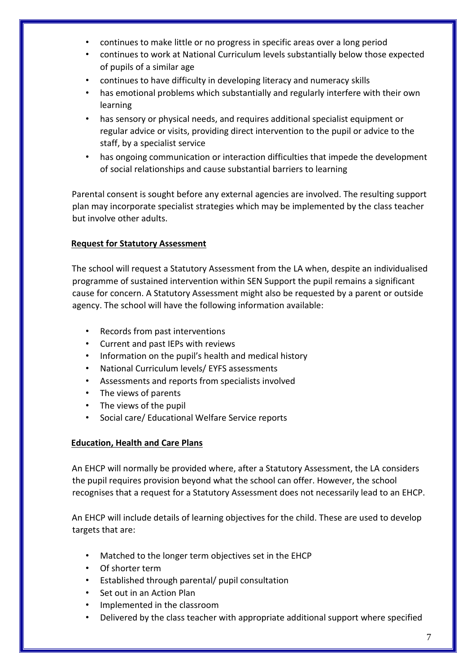- continues to make little or no progress in specific areas over a long period
- continues to work at National Curriculum levels substantially below those expected of pupils of a similar age
- continues to have difficulty in developing literacy and numeracy skills
- has emotional problems which substantially and regularly interfere with their own learning
- has sensory or physical needs, and requires additional specialist equipment or regular advice or visits, providing direct intervention to the pupil or advice to the staff, by a specialist service
- has ongoing communication or interaction difficulties that impede the development of social relationships and cause substantial barriers to learning

Parental consent is sought before any external agencies are involved. The resulting support plan may incorporate specialist strategies which may be implemented by the class teacher but involve other adults.

# **Request for Statutory Assessment**

The school will request a Statutory Assessment from the LA when, despite an individualised programme of sustained intervention within SEN Support the pupil remains a significant cause for concern. A Statutory Assessment might also be requested by a parent or outside agency. The school will have the following information available:

- Records from past interventions
- Current and past IEPs with reviews
- Information on the pupil's health and medical history
- National Curriculum levels/ EYFS assessments
- Assessments and reports from specialists involved
- The views of parents
- The views of the pupil
- Social care/ Educational Welfare Service reports

# **Education, Health and Care Plans**

An EHCP will normally be provided where, after a Statutory Assessment, the LA considers the pupil requires provision beyond what the school can offer. However, the school recognises that a request for a Statutory Assessment does not necessarily lead to an EHCP.

An EHCP will include details of learning objectives for the child. These are used to develop targets that are:

- Matched to the longer term objectives set in the EHCP
- Of shorter term
- Established through parental/ pupil consultation
- Set out in an Action Plan
- Implemented in the classroom
- Delivered by the class teacher with appropriate additional support where specified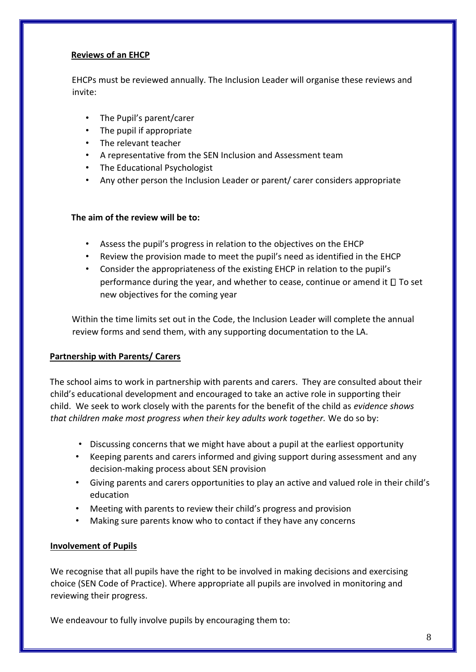## **Reviews of an EHCP**

EHCPs must be reviewed annually. The Inclusion Leader will organise these reviews and invite:

- The Pupil's parent/carer
- The pupil if appropriate
- The relevant teacher
- A representative from the SEN Inclusion and Assessment team
- The Educational Psychologist
- Any other person the Inclusion Leader or parent/ carer considers appropriate

#### **The aim of the review will be to:**

- Assess the pupil's progress in relation to the objectives on the EHCP
- Review the provision made to meet the pupil's need as identified in the EHCP
- Consider the appropriateness of the existing EHCP in relation to the pupil's performance during the year, and whether to cease, continue or amend it  $\square$  To set new objectives for the coming year

Within the time limits set out in the Code, the Inclusion Leader will complete the annual review forms and send them, with any supporting documentation to the LA.

#### **Partnership with Parents/ Carers**

The school aims to work in partnership with parents and carers. They are consulted about their child's educational development and encouraged to take an active role in supporting their child. We seek to work closely with the parents for the benefit of the child as *evidence shows that children make most progress when their key adults work together.* We do so by:

- Discussing concerns that we might have about a pupil at the earliest opportunity
- Keeping parents and carers informed and giving support during assessment and any decision-making process about SEN provision
- Giving parents and carers opportunities to play an active and valued role in their child's education
- Meeting with parents to review their child's progress and provision
- Making sure parents know who to contact if they have any concerns

#### **Involvement of Pupils**

We recognise that all pupils have the right to be involved in making decisions and exercising choice (SEN Code of Practice). Where appropriate all pupils are involved in monitoring and reviewing their progress.

We endeavour to fully involve pupils by encouraging them to: